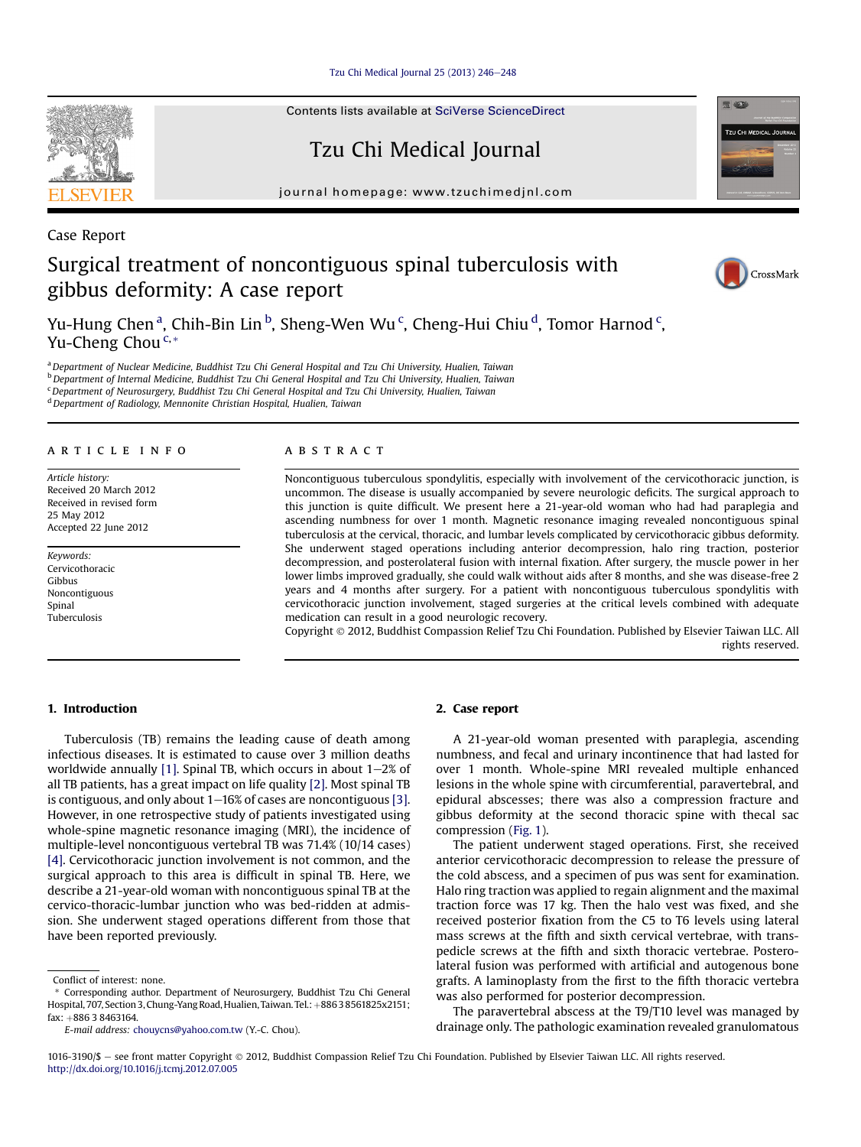Tzu Chi Medical Journal  $25(2013)$   $246-248$  $246-248$ 

Contents lists available at [SciVerse ScienceDirect](www.sciencedirect.com/science/journal/10163190)

Tzu Chi Medical Journal

journal homepage: [www.tzuchimedjnl.com](http://www.tzuchimedjnl.com)

# Case Report Surgical treatment of noncontiguous spinal tuberculosis with gibbus deformity: A case report

Yu-Hung Chen<sup>a</sup>, Chih-Bin Lin<sup>b</sup>, Sheng-Wen Wu<sup>c</sup>, Cheng-Hui Chiu<sup>d</sup>, Tomor Harnod<sup>c</sup>, Yu-Cheng Chou  $c_{\cdot *}$ 

a Department of Nuclear Medicine, Buddhist Tzu Chi General Hospital and Tzu Chi University, Hualien, Taiwan <sup>b</sup> Department of Internal Medicine, Buddhist Tzu Chi General Hospital and Tzu Chi University, Hualien, Taiwan <sup>c</sup> Department of Neurosurgery, Buddhist Tzu Chi General Hospital and Tzu Chi University, Hualien, Taiwan <sup>d</sup> Department of Radiology, Mennonite Christian Hospital, Hualien, Taiwan

## article info

Article history: Received 20 March 2012 Received in revised form 25 May 2012 Accepted 22 June 2012

Keywords: Cervicothoracic Gibbus Noncontiguous Spinal Tuberculosis

#### **ABSTRACT**

Noncontiguous tuberculous spondylitis, especially with involvement of the cervicothoracic junction, is uncommon. The disease is usually accompanied by severe neurologic deficits. The surgical approach to this junction is quite difficult. We present here a 21-year-old woman who had had paraplegia and ascending numbness for over 1 month. Magnetic resonance imaging revealed noncontiguous spinal tuberculosis at the cervical, thoracic, and lumbar levels complicated by cervicothoracic gibbus deformity. She underwent staged operations including anterior decompression, halo ring traction, posterior decompression, and posterolateral fusion with internal fixation. After surgery, the muscle power in her lower limbs improved gradually, she could walk without aids after 8 months, and she was disease-free 2 years and 4 months after surgery. For a patient with noncontiguous tuberculous spondylitis with cervicothoracic junction involvement, staged surgeries at the critical levels combined with adequate medication can result in a good neurologic recovery.

Copyright 2012, Buddhist Compassion Relief Tzu Chi Foundation. Published by Elsevier Taiwan LLC. All rights reserved.

# 1. Introduction

Tuberculosis (TB) remains the leading cause of death among infectious diseases. It is estimated to cause over 3 million deaths worldwide annually [\[1\]](#page-2-0). Spinal TB, which occurs in about  $1-2\%$  of all TB patients, has a great impact on life quality [\[2\].](#page-2-0) Most spinal TB is contiguous, and only about  $1-16%$  of cases are noncontiguous [\[3\].](#page-2-0) However, in one retrospective study of patients investigated using whole-spine magnetic resonance imaging (MRI), the incidence of multiple-level noncontiguous vertebral TB was 71.4% (10/14 cases) [\[4\]](#page-2-0). Cervicothoracic junction involvement is not common, and the surgical approach to this area is difficult in spinal TB. Here, we describe a 21-year-old woman with noncontiguous spinal TB at the cervico-thoracic-lumbar junction who was bed-ridden at admission. She underwent staged operations different from those that have been reported previously.

E-mail address: [chouycns@yahoo.com.tw](mailto:chouycns@yahoo.com.tw) (Y.-C. Chou).

#### 2. Case report

A 21-year-old woman presented with paraplegia, ascending numbness, and fecal and urinary incontinence that had lasted for over 1 month. Whole-spine MRI revealed multiple enhanced lesions in the whole spine with circumferential, paravertebral, and epidural abscesses; there was also a compression fracture and gibbus deformity at the second thoracic spine with thecal sac compression [\(Fig. 1\)](#page-1-0).

The patient underwent staged operations. First, she received anterior cervicothoracic decompression to release the pressure of the cold abscess, and a specimen of pus was sent for examination. Halo ring traction was applied to regain alignment and the maximal traction force was 17 kg. Then the halo vest was fixed, and she received posterior fixation from the C5 to T6 levels using lateral mass screws at the fifth and sixth cervical vertebrae, with transpedicle screws at the fifth and sixth thoracic vertebrae. Posterolateral fusion was performed with artificial and autogenous bone grafts. A laminoplasty from the first to the fifth thoracic vertebra was also performed for posterior decompression.

The paravertebral abscess at the T9/T10 level was managed by drainage only. The pathologic examination revealed granulomatous







Conflict of interest: none.

<sup>\*</sup> Corresponding author. Department of Neurosurgery, Buddhist Tzu Chi General Hospital, 707, Section 3, Chung-Yang Road, Hualien, Taiwan. Tel.: +88638561825x2151; fax: +886 3 8463164.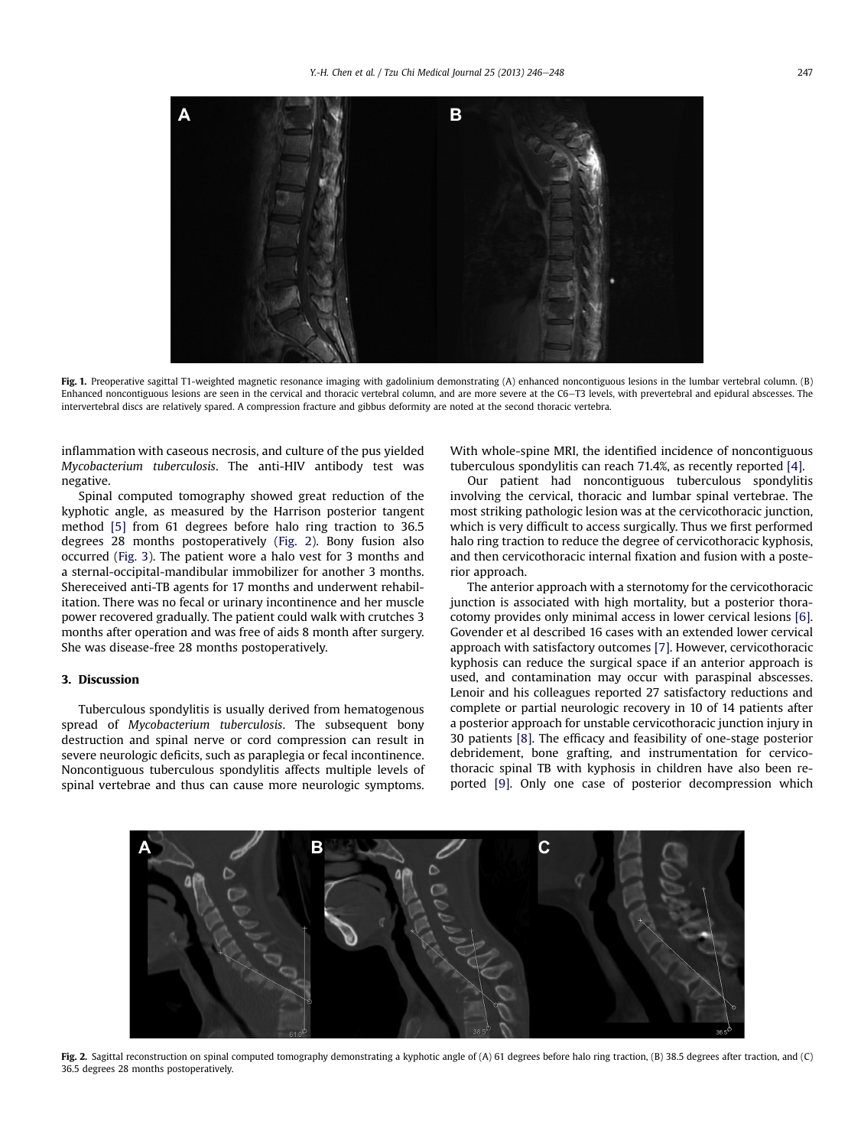<span id="page-1-0"></span>

Fig. 1. Preoperative sagittal T1-weighted magnetic resonance imaging with gadolinium demonstrating (A) enhanced noncontiguous lesions in the lumbar vertebral column. (B) Enhanced noncontiguous lesions are seen in the cervical and thoracic vertebral column, and are more severe at the C6–T3 levels, with prevertebral and epidural abscesses. The intervertebral discs are relatively spared. A compression fracture and gibbus deformity are noted at the second thoracic vertebra.

inflammation with caseous necrosis, and culture of the pus yielded Mycobacterium tuberculosis. The anti-HIV antibody test was negative.

Spinal computed tomography showed great reduction of the kyphotic angle, as measured by the Harrison posterior tangent method [\[5\]](#page-2-0) from 61 degrees before halo ring traction to 36.5 degrees 28 months postoperatively (Fig. 2). Bony fusion also occurred ([Fig. 3\)](#page-2-0). The patient wore a halo vest for 3 months and a sternal-occipital-mandibular immobilizer for another 3 months. Shereceived anti-TB agents for 17 months and underwent rehabilitation. There was no fecal or urinary incontinence and her muscle power recovered gradually. The patient could walk with crutches 3 months after operation and was free of aids 8 month after surgery. She was disease-free 28 months postoperatively.

## 3. Discussion

Tuberculous spondylitis is usually derived from hematogenous spread of Mycobacterium tuberculosis. The subsequent bony destruction and spinal nerve or cord compression can result in severe neurologic deficits, such as paraplegia or fecal incontinence. Noncontiguous tuberculous spondylitis affects multiple levels of spinal vertebrae and thus can cause more neurologic symptoms.

With whole-spine MRI, the identified incidence of noncontiguous tuberculous spondylitis can reach 71.4%, as recently reported [\[4\]](#page-2-0).

Our patient had noncontiguous tuberculous spondylitis involving the cervical, thoracic and lumbar spinal vertebrae. The most striking pathologic lesion was at the cervicothoracic junction, which is very difficult to access surgically. Thus we first performed halo ring traction to reduce the degree of cervicothoracic kyphosis, and then cervicothoracic internal fixation and fusion with a posterior approach.

The anterior approach with a sternotomy for the cervicothoracic junction is associated with high mortality, but a posterior thoracotomy provides only minimal access in lower cervical lesions [\[6\].](#page-2-0) Govender et al described 16 cases with an extended lower cervical approach with satisfactory outcomes [\[7\]](#page-2-0). However, cervicothoracic kyphosis can reduce the surgical space if an anterior approach is used, and contamination may occur with paraspinal abscesses. Lenoir and his colleagues reported 27 satisfactory reductions and complete or partial neurologic recovery in 10 of 14 patients after a posterior approach for unstable cervicothoracic junction injury in 30 patients [\[8\]](#page-2-0). The efficacy and feasibility of one-stage posterior debridement, bone grafting, and instrumentation for cervicothoracic spinal TB with kyphosis in children have also been reported [\[9\].](#page-2-0) Only one case of posterior decompression which



Fig. 2. Sagittal reconstruction on spinal computed tomography demonstrating a kyphotic angle of (A) 61 degrees before halo ring traction, (B) 38.5 degrees after traction, and (C) 36.5 degrees 28 months postoperatively.